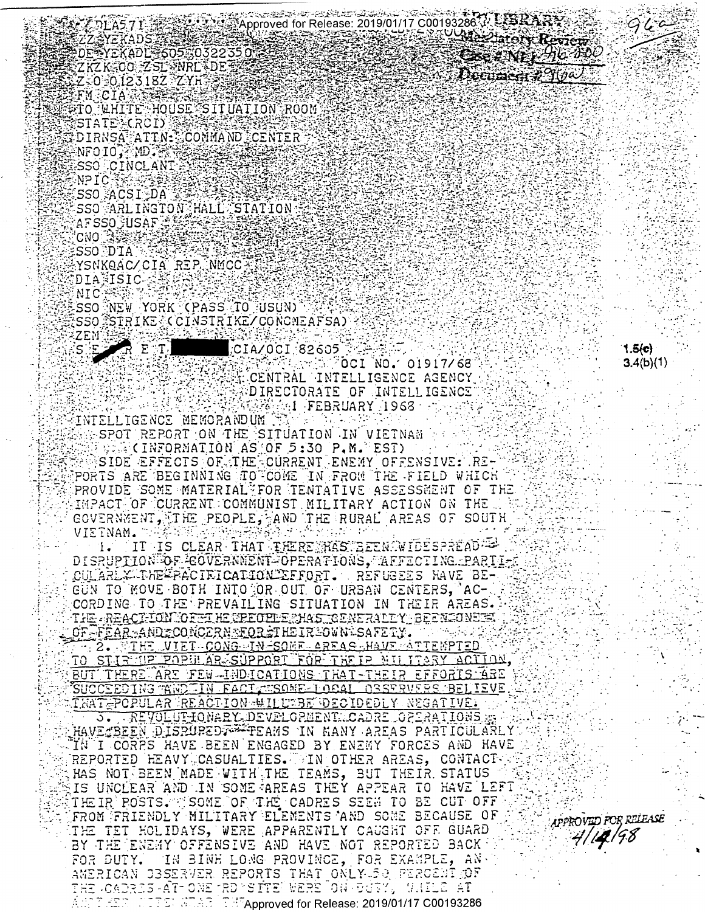33.Approved for Release: 2019/01/17 C00193286.4. 《新闻》 DLA5 7 I ZZAYEKADSZA DE YEKADL 605.0322350 ZKZK-OO ZSLVNRLVDE Z-0-012318Z-ZYH **FMECIALLES** #TO WHITE HOUSE SITUATION ROOM STATE (RCI) **SDIRNSA ATTN: COMMAND CENTER** 美 NFO IO, MD . 张 SSO JCINCLANI **NPIC Resears** SSO ACSIDA

SSO ARLINGTON HALL STATION AFSSO FUSAF C **CNO** 35%

:SSONDIAN YSNKQAC/CIA REP.NMCC DIANISIC<sup>1</sup>

NIC SSO NEW YORK (PASS TO USUN) SSO STRIKE (CINSTRIKE/CONCMEAFSA)

 $\mathbb{E} \setminus \mathbb{T}_1$  $CIA/OCI$  82605  $\%$ OCI $\%$ O $\leq$  O1917/68 $\%$ CENTRAL INTELLIGENCE AGENCY DIRECTORATE OF INTELLIGENCE **ANGLE FEBRUARY 1968** 

INTELLIGENCE MEMORANDUM  $\sim$ 

SPOT REPORT ON THE SITUATION IN VIETNAM **WEIGHTORMATION AS OF 5:30 P.M. EST)** SIDE EFFECTS OF THE CURRENT ENEMY OFFENSIVE: RE-PORTS ARE BEGINNING TO COME IN FROM THE FIELD WHICH PROVIDE SOME MATERIAL FOR TENTATIVE ASSESSMENT OF THE IMPACT OF CURRENT COMMUNIST MILITARY ACTION ON THE GOVERNMENT, THE PEOPLE, AND THE RURAL AREAS OF SOUTH 地名美国卡尔特德瑞典安全 化分子分析 计图 VIETNAM. T

IT IS CLEAR THAT THERE RAS BEEN WIDESPREAD ==  $1.7$ DISRUPTION OF COVERNMENT OPERATIONS, AFFECTING PARTI-CULARLX-THE FACIFICATION EFFORT. REFUGEES HAVE BE-GUN TO MOVE BOTH INTO OR OUT OF URBAN CENTERS, AC-CORDING TO THE PREVAILING SITUATION IN THEIR AREAS. THE REACTION OFFICE RECOPPERIAS TO ENERAL EY BEEN JONES. OF-FEAR-ANDZCONCZRNETORETHEIREOWNESAFETY.

- 2. THE VIET CONG HN-SONE AREAS HAVE ATTEMPTED TO STIRMIP POPULAR SUPPORT FOR THEIR MILITARY ACTION, BUT THERE ARE FEW-INDICATIONS THAT-THEIR EFFORTS ARE SUCCEEDING WNDIIN FACT WSOME LOBAL OBSTRUERS BELIEVE. THAT POPULAR REACTION WILLTBE DECIDEDLY NEGATIVE.

S. REVOLUTIONARY DEVELOPMENT CADRE OPERATIONS HAVE BEEN DISPUPED FILAMS IN HANY AREAS PARTICULARLY IN I CORPS HAVE BEEN ENGAGED BY ENEMY FORCES AND HAVE REPORTED HEAVY CASUALTIES. THE OTHER AREAS, CONTACTY HAS NOT BEEN MADE WITH THE TEAMS, BUT THEIR STATUS IS UNCLEAR AND IN SOME AREAS THEY APPEAR TO HAVE LEFT THEIR POSTS. SOME OF THE CADRES SEEK TO BE CUT OFF FROM FRIENDLY MILITARY ELEMENTS AND SOME BECAUSE OF THE TET HOLIDAYS, WERE APPARENTLY CAUGHT OFF GUARD BY THE ENEMY OFFENSIVE AND HAVE NOT REPORTED BACK. FOR DUTY. IN BINH LONG PROVINCE, FOR EXAMPLE, AN. AMERICAN CBSERVER REPORTS THAT ONLY 50 FERCENT OF THE -CADRES-AT-ONE TROPS ITEP WERE ON DURY, WILLE AT ा तक आफ्रिकेट में सिकित अधिकार (Paper of the Release: 2019/01/17 C00193286 ן התקצודת.<br>י

**OUR Zinfort Review** CER YER HO AND  $\mathcal{L}$  becument  $\mathcal{L}(\theta \omega)$ 

> $1.5(e)$  $3.4(b)(1)$

APPROVED FOR RELEASE

4/14/98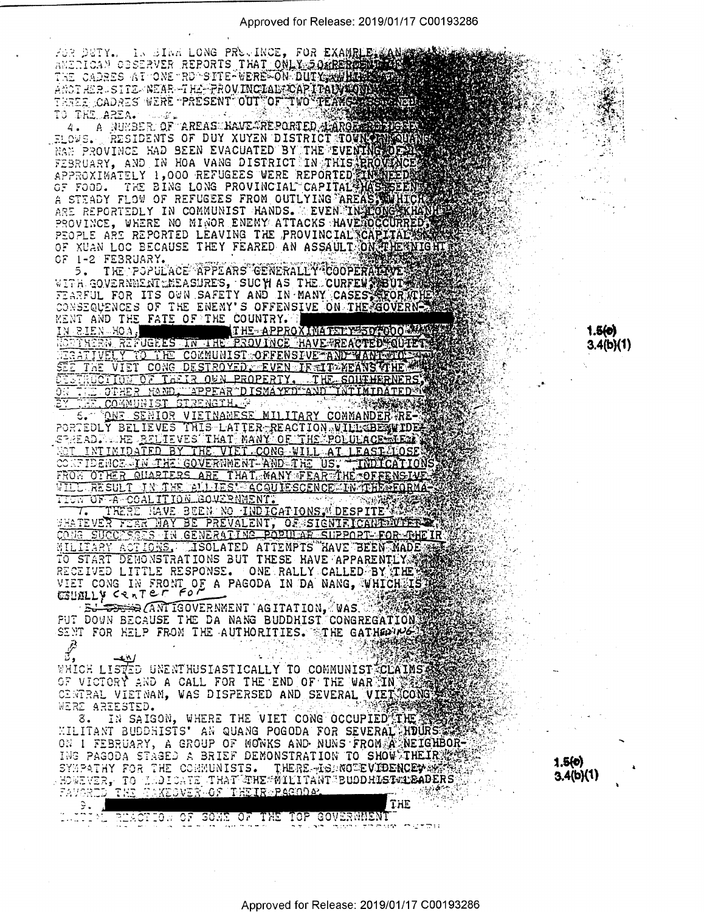ANSING DETAIL IN STATE HARD PROVIDE, FOR EXAMPLE AND CONSIDERATION CONSIDERED AND THE PROSENT OF TWO TRANSPORTED AND THE AND ISLAMIC ON A CONSIDERATION OF THE PROSENT OF TWO TRANSPORTS THAT A MUNISIPY OF THE PROSENT OF TWO

PROPIE ARE REPORTED LEAVING IN ASSAULT ON THE AND TO FIND THE POPULATE AND THE FATE OF THE COUNTRY.

ENT AND THE FATE OF THE COUNTRY. THE CONSTRUCTION OF THE CONSTRUCT ON THE PROVINCE HAVE REACTED TO THE CONSTRUCT OF THE CONSTRUCT OF THE CONDUCT OF THE CONDUCT OF THE CONDUCT OF THE CONDUCT OF THE CONDUCT OF THE CONDUCT OF

WILL RESULT IN THE BILIES' ACQUIESCENCE IN THE FORMATION IN THE STORICT OF A COALITION GOVERNMENT.<br>
TICK OF A COALITION GOVERNMENT.<br>
WATEVER THAT BE PREVALENT, OR SIGNIFICATION WITH THE STATE OF THE CORRECT TO CONG SUCCESS

 $\sim$  ,  $\sim$  ,  $\sim$  ,  $\sim$  $\vec{r}$ 

WHICH LISTED UNENTHUSIASTICALLY TO COMMUNIST CLAIMS AND OF VICTORY AND A CALL FOR THE END OF THE WAR IN WERE CONGRESS OF VICTORY AND A CALL FOR THE END OF THE WAR IN WERE CONGRESS OF THE VIET CONGRESS OF THE VIET CONGRESS

LATING REACTED OF SOME OF THE TOP GOVERNMENT

ON I FEBRUARY, A GROUP OF MONKS AND NUNS FROM A NEIGHBOR-<br>ING PAGODA STAGED A BRIEF DEMONSTRATION TO SHOW THEIR MAY SYMPATHY FOR THE COMMUNISTS. THERE TO NOW THEIR MAY THE RESPONSE OF SYMPATHY FOR THE COMMUNISTS. THERE TO NOWEVER, TO MADICATE THAT THE WILITANT BUODHIST LEADERS **最近** THE

 $1.5(0)$  $3.4(b)(1)$ 

 $1.5(0)$  $3.4(b)(1)$